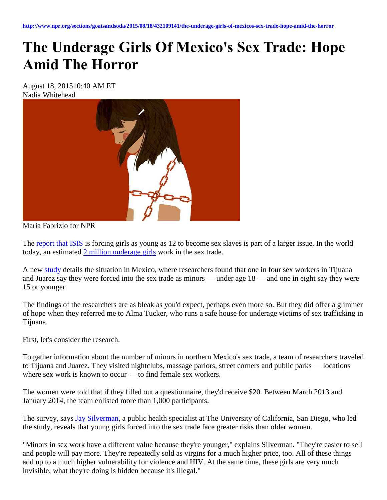## **The Underage Girls Of Mexico's Sex Trade: Hope Amid The Horror**

August 18, 201510:40 AM ET Nadia Whitehead



Maria Fabrizio for NPR

The [report that ISIS](http://www.nytimes.com/2015/08/14/world/middleeast/isis-enshrines-a-theology-of-rape.html) is forcing girls as young as 12 to become sex slaves is part of a larger issue. In the world today, an estimated [2 million underage girls](http://arkofhopeforchildren.org/child-trafficking/child-trafficking-statistics) work in the sex trade.

A new [study](http://jama.jamanetwork.com/article.aspx?articleid=2422537) details the situation in Mexico, where researchers found that one in four sex workers in Tijuana and Juarez say they were forced into the sex trade as minors — under age 18 — and one in eight say they were 15 or younger.

The findings of the researchers are as bleak as you'd expect, perhaps even more so. But they did offer a glimmer of hope when they referred me to Alma Tucker, who runs a safe house for underage victims of sex trafficking in Tijuana.

First, let's consider the research.

To gather information about the number of minors in northern Mexico's sex trade, a team of researchers traveled to Tijuana and Juarez. They visited nightclubs, massage parlors, street corners and public parks — locations where sex work is known to occur — to find female sex workers.

The women were told that if they filled out a questionnaire, they'd receive \$20. Between March 2013 and January 2014, the team enlisted more than 1,000 participants.

The survey, says [Jay Silverman,](http://gph.ucsd.edu/people/core/Pages/silverman.aspx) a public health specialist at The University of California, San Diego, who led the study, reveals that young girls forced into the sex trade face greater risks than older women.

"Minors in sex work have a different value because they're younger," explains Silverman. "They're easier to sell and people will pay more. They're repeatedly sold as virgins for a much higher price, too. All of these things add up to a much higher vulnerability for violence and HIV. At the same time, these girls are very much invisible; what they're doing is hidden because it's illegal."